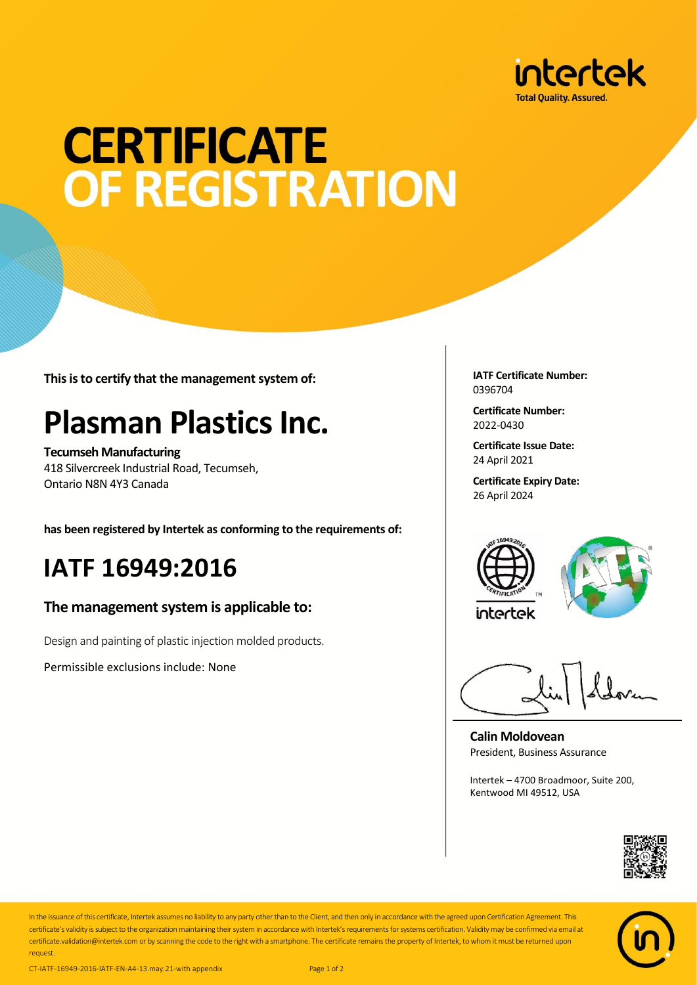

# **CERTIFICATE OF REGISTRATION**

**This is to certify that the management system of:**

## **Plasman Plastics Inc.**

**Tecumseh Manufacturing** 418 Silvercreek Industrial Road, Tecumseh, Ontario N8N 4Y3 Canada

**has been registered by Intertek as conforming to the requirements of:**

### **IATF 16949:2016**

#### **The management system is applicable to:**

Design and painting of plastic injection molded products.

Permissible exclusions include: None

**IATF Certificate Number:** 0396704

**Certificate Number:** 2022-0430

**Certificate Issue Date:** 24 April 2021

**Certificate Expiry Date:** 26 April 2024





**Calin Moldovean** President, Business Assurance

Intertek – 4700 Broadmoor, Suite 200, Kentwood MI 49512, USA





In the issuance of this certificate, Intertek assumes no liability to any party other than to the Client, and then only in accordance with the agreed upon Certification Agreement. This certificate's validity is subject to the organization maintaining their system in accordance with Intertek's requirements for systems certification. Validity may be confirmed via email at certificate.validation@intertek.com or by scanning the code to the right with a smartphone. The certificate remains the property of Intertek, to whom it must be returned upon request.